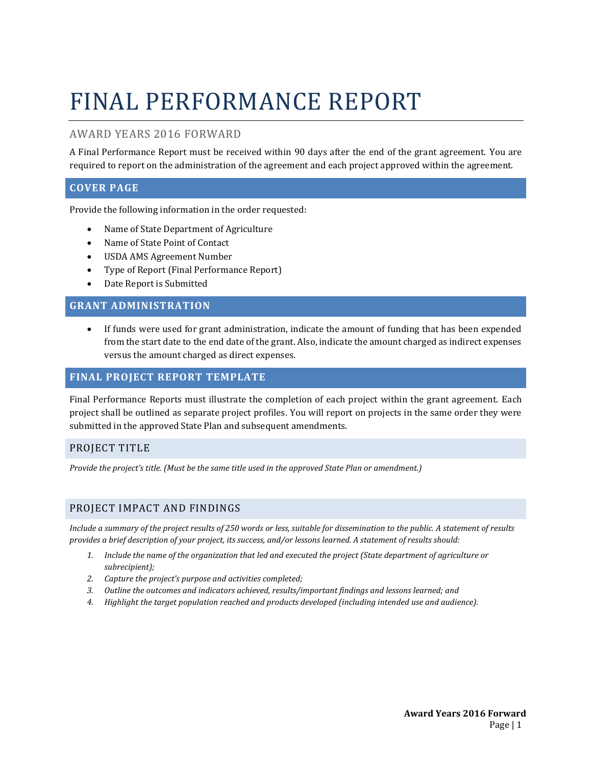# FINAL PERFORMANCE REPORT

# AWARD YEARS 2016 FORWARD

A Final Performance Report must be received within 90 days after the end of the grant agreement. You are required to report on the administration of the agreement and each project approved within the agreement.

# **COVER PAGE**

Provide the following information in the order requested:

- Name of State Department of Agriculture
- Name of State Point of Contact
- USDA AMS Agreement Number
- Type of Report (Final Performance Report)
- Date Report is Submitted

# **GRANT ADMINISTRATION**

If funds were used for grant administration, indicate the amount of funding that has been expended from the start date to the end date of the grant. Also, indicate the amount charged as indirect expenses versus the amount charged as direct expenses.

# **FINAL PROJECT REPORT TEMPLATE**

Final Performance Reports must illustrate the completion of each project within the grant agreement. Each project shall be outlined as separate project profiles. You will report on projects in the same order they were submitted in the approved State Plan and subsequent amendments.

## PROJECT TITLE

*Provide the project's title. (Must be the same title used in the approved State Plan or amendment.)*

## PROJECT IMPACT AND FINDINGS

*Include a summary of the project results of 250 words or less, suitable for dissemination to the public. A statement of results provides a brief description of your project, its success, and/or lessons learned. A statement of results should:*

- *1. Include the name of the organization that led and executed the project (State department of agriculture or subrecipient);*
- *2. Capture the project's purpose and activities completed;*
- *3. Outline the outcomes and indicators achieved, results/important findings and lessons learned; and*
- *4. Highlight the target population reached and products developed (including intended use and audience).*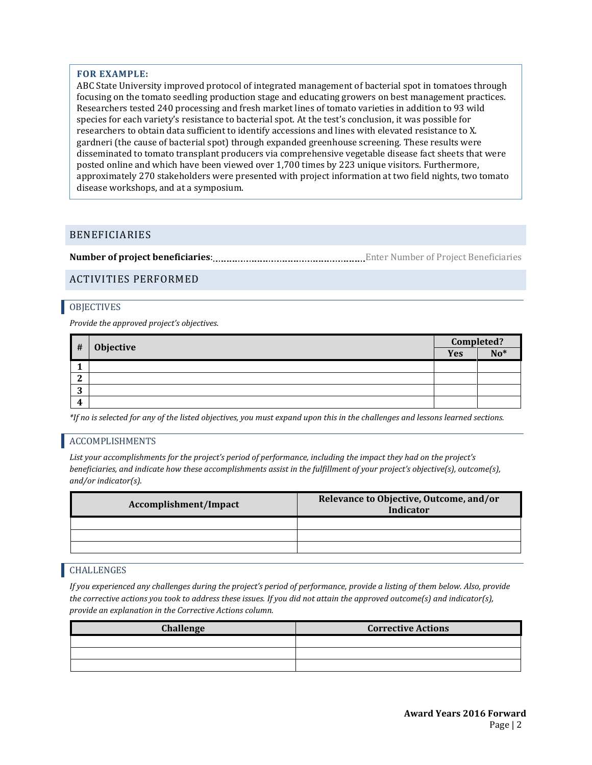#### **FOR EXAMPLE:**

ABC State University improved protocol of integrated management of bacterial spot in tomatoes through focusing on the tomato seedling production stage and educating growers on best management practices. Researchers tested 240 processing and fresh market lines of tomato varieties in addition to 93 wild species for each variety's resistance to bacterial spot. At the test's conclusion, it was possible for researchers to obtain data sufficient to identify accessions and lines with elevated resistance to X. gardneri (the cause of bacterial spot) through expanded greenhouse screening. These results were disseminated to tomato transplant producers via comprehensive vegetable disease fact sheets that were posted online and which have been viewed over 1,700 times by 223 unique visitors. Furthermore, approximately 270 stakeholders were presented with project information at two field nights, two tomato disease workshops, and at a symposium.

## BENEFICIARIES

**Number of project beneficiaries**: Enter Number of Project Beneficiaries

## ACTIVITIES PERFORMED

#### **OBJECTIVES**

*Provide the approved project's objectives.* 

| #      | Objective | Completed? |       |
|--------|-----------|------------|-------|
|        |           | <b>Yes</b> | $No*$ |
|        |           |            |       |
| ി<br>∼ |           |            |       |
| n<br>J |           |            |       |
| 4      |           |            |       |

*\*If no is selected for any of the listed objectives, you must expand upon this in the challenges and lessons learned sections.*

## ACCOMPLISHMENTS

*List your accomplishments for the project's period of performance, including the impact they had on the project's beneficiaries, and indicate how these accomplishments assist in the fulfillment of your project's objective(s), outcome(s), and/or indicator(s).*

| Accomplishment/Impact | Relevance to Objective, Outcome, and/or<br>Indicator |
|-----------------------|------------------------------------------------------|
|                       |                                                      |
|                       |                                                      |
|                       |                                                      |
|                       |                                                      |

#### CHALLENGES

*If you experienced any challenges during the project's period of performance, provide a listing of them below. Also, provide the corrective actions you took to address these issues. If you did not attain the approved outcome(s) and indicator(s), provide an explanation in the Corrective Actions column.*

| Challenge | <b>Corrective Actions</b> |
|-----------|---------------------------|
|           |                           |
|           |                           |
|           |                           |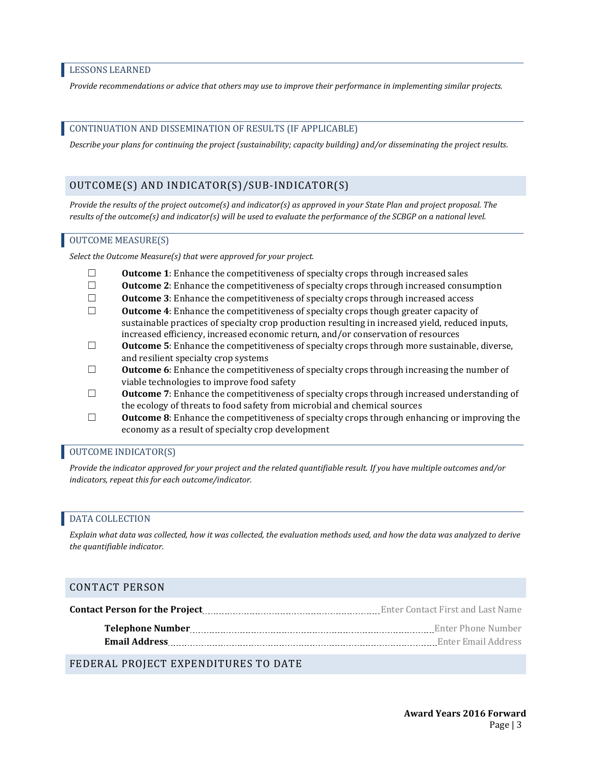#### LESSONS LEARNED

*Provide recommendations or advice that others may use to improve their performance in implementing similar projects.*

#### CONTINUATION AND DISSEMINATION OF RESULTS (IF APPLICABLE)

*Describe your plans for continuing the project (sustainability; capacity building) and/or disseminating the project results.* 

#### OUTCOME(S) AND INDICATOR(S)/SUB-INDICATOR(S)

*Provide the results of the project outcome(s) and indicator(s) as approved in your State Plan and project proposal. The results of the outcome(s) and indicator(s) will be used to evaluate the performance of the SCBGP on a national level.* 

#### OUTCOME MEASURE(S)

*Select the Outcome Measure(s) that were approved for your project.* 

- ☐ **Outcome 1**: Enhance the competitiveness of specialty crops through increased sales
- ☐ **Outcome 2**: Enhance the competitiveness of specialty crops through increased consumption
- ☐ **Outcome 3**: Enhance the competitiveness of specialty crops through increased access
- ☐ **Outcome 4**: Enhance the competitiveness of specialty crops though greater capacity of sustainable practices of specialty crop production resulting in increased yield, reduced inputs, increased efficiency, increased economic return, and/or conservation of resources
- ☐ **Outcome 5**: Enhance the competitiveness of specialty crops through more sustainable, diverse, and resilient specialty crop systems
- □ **Outcome 6**: Enhance the competitiveness of specialty crops through increasing the number of viable technologies to improve food safety
- ☐ **Outcome 7**: Enhance the competitiveness of specialty crops through increased understanding of the ecology of threats to food safety from microbial and chemical sources
- ☐ **Outcome 8**: Enhance the competitiveness of specialty crops through enhancing or improving the economy as a result of specialty crop development

## OUTCOME INDICATOR(S)

*Provide the indicator approved for your project and the related quantifiable result. If you have multiple outcomes and/or indicators, repeat this for each outcome/indicator.*

## DATA COLLECTION

*Explain what data was collected, how it was collected, the evaluation methods used, and how the data was analyzed to derive the quantifiable indicator.*

#### CONTACT PERSON

|                      | Enter Contact First and Last Name |
|----------------------|-----------------------------------|
|                      | Enter Phone Number                |
| <b>Email Address</b> | Enter Email Address               |

FEDERAL PROJECT EXPENDITURES TO DATE